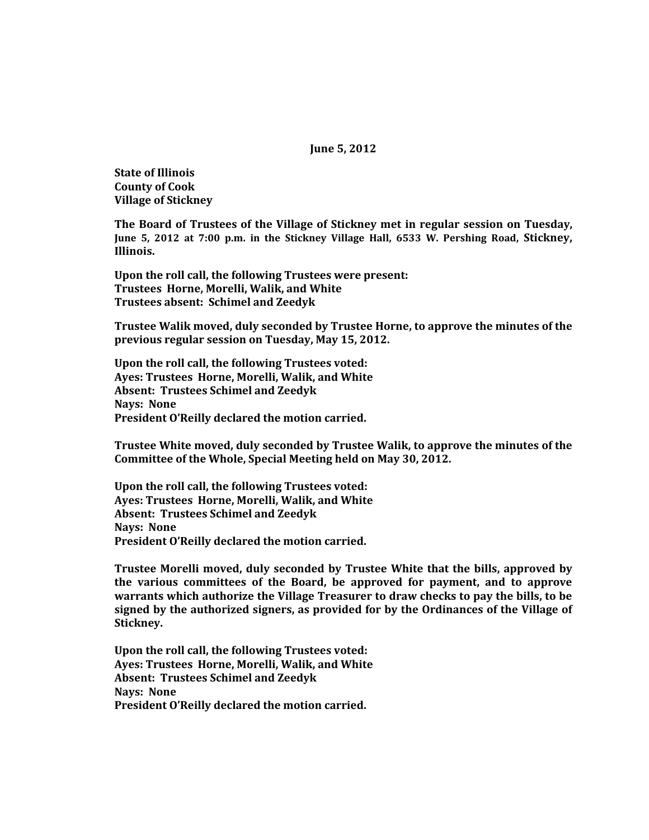**June 5, 2012**

**State of Illinois County of Cook Village of Stickney**

**The Board of Trustees of the Village of Stickney met in regular session on Tuesday, June 5, 2012 at 7:00 p.m. in the Stickney Village Hall, 6533 W. Pershing Road, Stickney, Illinois.**

**Upon the roll call, the following Trustees were present: Trustees Horne, Morelli, Walik, and White Trustees absent: Schimel and Zeedyk**

**Trustee Walik moved, duly seconded by Trustee Horne, to approve the minutes of the previous regular session on Tuesday, May 15, 2012.**

**Upon the roll call, the following Trustees voted: Ayes: Trustees Horne, Morelli, Walik, and White Absent: Trustees Schimel and Zeedyk Nays: None President O'Reilly declared the motion carried.**

**Trustee White moved, duly seconded by Trustee Walik, to approve the minutes of the Committee of the Whole, Special Meeting held on May 30, 2012.**

**Upon the roll call, the following Trustees voted: Ayes: Trustees Horne, Morelli, Walik, and White Absent: Trustees Schimel and Zeedyk Nays: None President O'Reilly declared the motion carried.**

**Trustee Morelli moved, duly seconded by Trustee White that the bills, approved by the various committees of the Board, be approved for payment, and to approve warrants which authorize the Village Treasurer to draw checks to pay the bills, to be signed by the authorized signers, as provided for by the Ordinances of the Village of Stickney.**

**Upon the roll call, the following Trustees voted: Ayes: Trustees Horne, Morelli, Walik, and White Absent: Trustees Schimel and Zeedyk Nays: None President O'Reilly declared the motion carried.**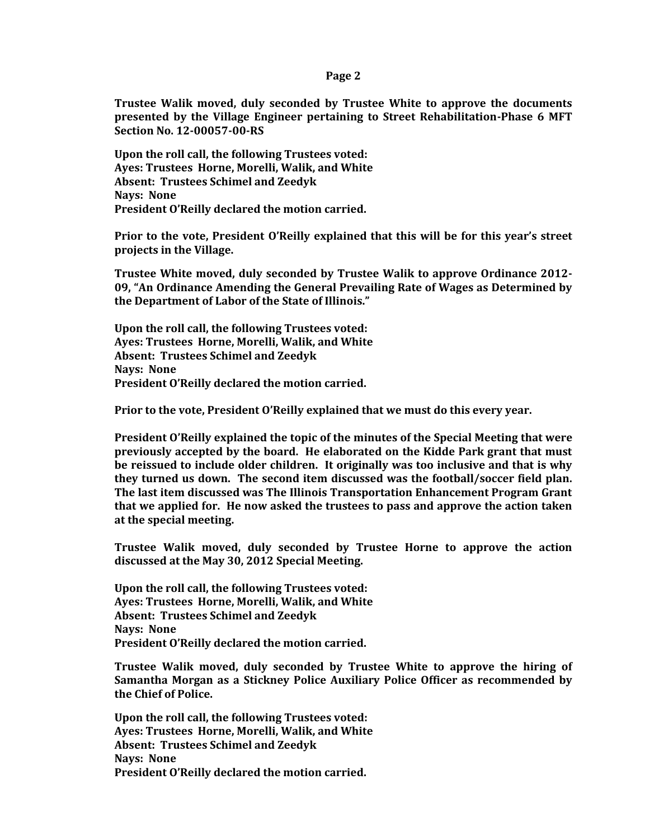## **Page 2**

**Trustee Walik moved, duly seconded by Trustee White to approve the documents presented by the Village Engineer pertaining to Street Rehabilitation-Phase 6 MFT Section No. 12-00057-00-RS**

**Upon the roll call, the following Trustees voted: Ayes: Trustees Horne, Morelli, Walik, and White Absent: Trustees Schimel and Zeedyk Nays: None President O'Reilly declared the motion carried.**

**Prior to the vote, President O'Reilly explained that this will be for this year's street projects in the Village.**

**Trustee White moved, duly seconded by Trustee Walik to approve Ordinance 2012- 09, "An Ordinance Amending the General Prevailing Rate of Wages as Determined by the Department of Labor of the State of Illinois."** 

**Upon the roll call, the following Trustees voted: Ayes: Trustees Horne, Morelli, Walik, and White Absent: Trustees Schimel and Zeedyk Nays: None President O'Reilly declared the motion carried.**

**Prior to the vote, President O'Reilly explained that we must do this every year.**

**President O'Reilly explained the topic of the minutes of the Special Meeting that were previously accepted by the board. He elaborated on the Kidde Park grant that must be reissued to include older children. It originally was too inclusive and that is why they turned us down. The second item discussed was the football/soccer field plan. The last item discussed was The Illinois Transportation Enhancement Program Grant that we applied for. He now asked the trustees to pass and approve the action taken at the special meeting.**

**Trustee Walik moved, duly seconded by Trustee Horne to approve the action discussed at the May 30, 2012 Special Meeting.**

**Upon the roll call, the following Trustees voted: Ayes: Trustees Horne, Morelli, Walik, and White Absent: Trustees Schimel and Zeedyk Nays: None President O'Reilly declared the motion carried.**

**Trustee Walik moved, duly seconded by Trustee White to approve the hiring of Samantha Morgan as a Stickney Police Auxiliary Police Officer as recommended by the Chief of Police.**

**Upon the roll call, the following Trustees voted: Ayes: Trustees Horne, Morelli, Walik, and White Absent: Trustees Schimel and Zeedyk Nays: None President O'Reilly declared the motion carried.**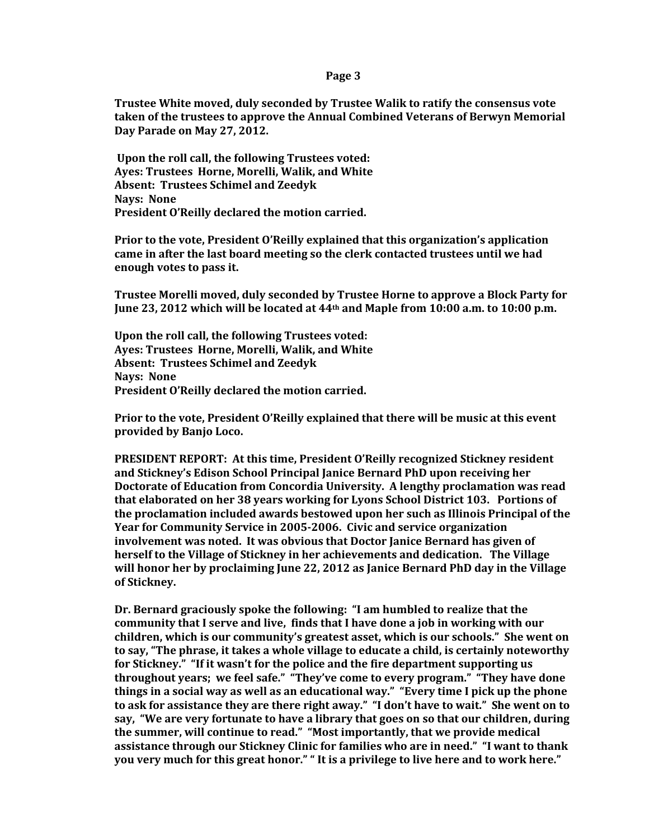## **Page 3**

**Trustee White moved, duly seconded by Trustee Walik to ratify the consensus vote taken of the trustees to approve the Annual Combined Veterans of Berwyn Memorial Day Parade on May 27, 2012.**

**Upon the roll call, the following Trustees voted: Ayes: Trustees Horne, Morelli, Walik, and White Absent: Trustees Schimel and Zeedyk Nays: None President O'Reilly declared the motion carried.**

**Prior to the vote, President O'Reilly explained that this organization's application came in after the last board meeting so the clerk contacted trustees until we had enough votes to pass it.**

**Trustee Morelli moved, duly seconded by Trustee Horne to approve a Block Party for June 23, 2012 which will be located at 44th and Maple from 10:00 a.m. to 10:00 p.m.**

**Upon the roll call, the following Trustees voted: Ayes: Trustees Horne, Morelli, Walik, and White Absent: Trustees Schimel and Zeedyk Nays: None President O'Reilly declared the motion carried.**

**Prior to the vote, President O'Reilly explained that there will be music at this event provided by Banjo Loco.**

**PRESIDENT REPORT: At this time, President O'Reilly recognized Stickney resident and Stickney's Edison School Principal Janice Bernard PhD upon receiving her Doctorate of Education from Concordia University. A lengthy proclamation was read that elaborated on her 38 years working for Lyons School District 103. Portions of the proclamation included awards bestowed upon her such as Illinois Principal of the Year for Community Service in 2005-2006. Civic and service organization involvement was noted. It was obvious that Doctor Janice Bernard has given of herself to the Village of Stickney in her achievements and dedication. The Village will honor her by proclaiming June 22, 2012 as Janice Bernard PhD day in the Village of Stickney.**

**Dr. Bernard graciously spoke the following: "I am humbled to realize that the community that I serve and live, finds that I have done a job in working with our children, which is our community's greatest asset, which is our schools." She went on to say, "The phrase, it takes a whole village to educate a child, is certainly noteworthy for Stickney." "If it wasn't for the police and the fire department supporting us throughout years; we feel safe." "They've come to every program." "They have done things in a social way as well as an educational way." "Every time I pick up the phone to ask for assistance they are there right away." "I don't have to wait." She went on to say, "We are very fortunate to have a library that goes on so that our children, during the summer, will continue to read." "Most importantly, that we provide medical assistance through our Stickney Clinic for families who are in need." "I want to thank you very much for this great honor." " It is a privilege to live here and to work here."**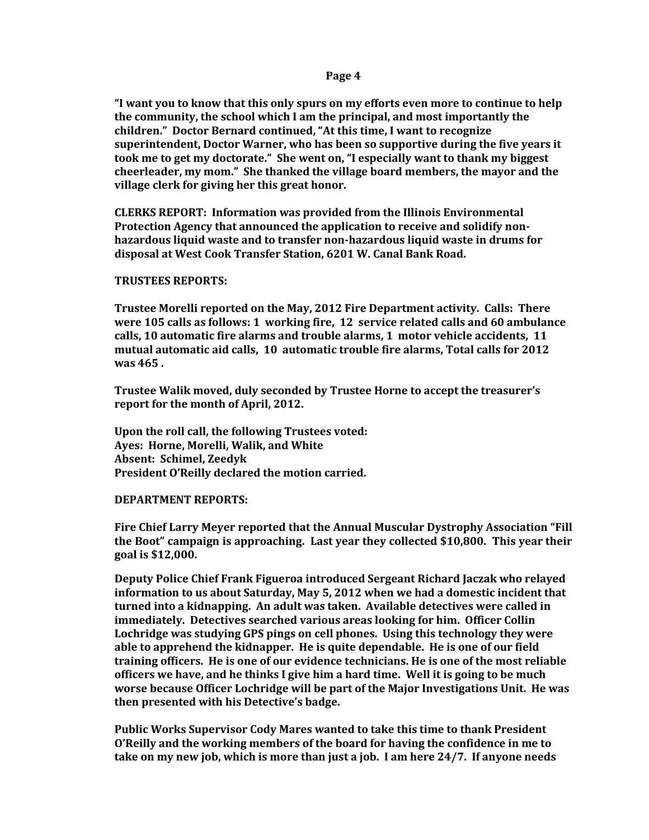**"I want you to know that this only spurs on my efforts even more to continue to help the community, the school which I am the principal, and most importantly the children." Doctor Bernard continued, "At this time, I want to recognize superintendent, Doctor Warner, who has been so supportive during the five years it took me to get my doctorate." She went on, "I especially want to thank my biggest cheerleader, my mom." She thanked the village board members, the mayor and the village clerk for giving her this great honor.** 

**CLERKS REPORT: Information was provided from the Illinois Environmental Protection Agency that announced the application to receive and solidify nonhazardous liquid waste and to transfer non-hazardous liquid waste in drums for disposal at West Cook Transfer Station, 6201 W. Canal Bank Road.**

# **TRUSTEES REPORTS:**

**Trustee Morelli reported on the May, 2012 Fire Department activity. Calls: There were 105 calls as follows: 1 working fire, 12 service related calls and 60 ambulance calls, 10 automatic fire alarms and trouble alarms, 1 motor vehicle accidents, 11 mutual automatic aid calls, 10 automatic trouble fire alarms, Total calls for 2012 was 465 .** 

**Trustee Walik moved, duly seconded by Trustee Horne to accept the treasurer's report for the month of April, 2012.**

**Upon the roll call, the following Trustees voted: Ayes: Horne, Morelli, Walik, and White Absent: Schimel, Zeedyk President O'Reilly declared the motion carried.**

#### **DEPARTMENT REPORTS:**

**Fire Chief Larry Meyer reported that the Annual Muscular Dystrophy Association "Fill the Boot" campaign is approaching. Last year they collected \$10,800. This year their goal is \$12,000.** 

**Deputy Police Chief Frank Figueroa introduced Sergeant Richard Jaczak who relayed information to us about Saturday, May 5, 2012 when we had a domestic incident that turned into a kidnapping. An adult was taken. Available detectives were called in immediately. Detectives searched various areas looking for him. Officer Collin Lochridge was studying GPS pings on cell phones. Using this technology they were able to apprehend the kidnapper. He is quite dependable. He is one of our field training officers. He is one of our evidence technicians. He is one of the most reliable officers we have, and he thinks I give him a hard time. Well it is going to be much worse because Officer Lochridge will be part of the Major Investigations Unit. He was then presented with his Detective's badge.** 

**Public Works Supervisor Cody Mares wanted to take this time to thank President O'Reilly and the working members of the board for having the confidence in me to take on my new job, which is more than just a job. I am here 24/7. If anyone needs**